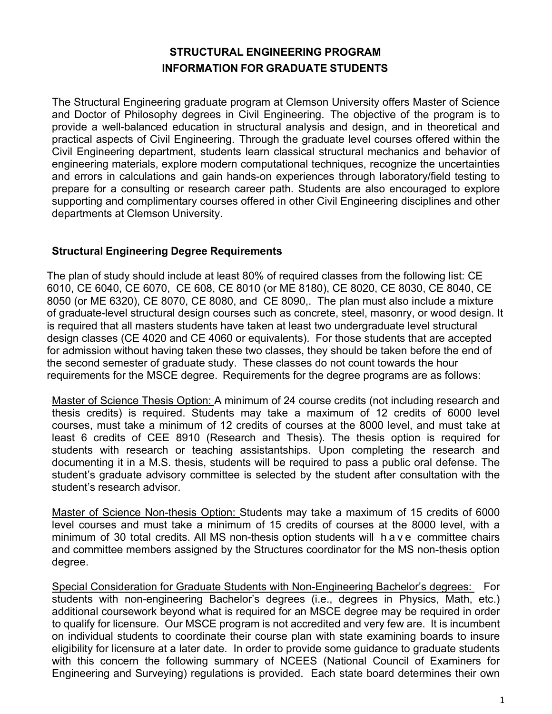## **STRUCTURAL ENGINEERING PROGRAM INFORMATION FOR GRADUATE STUDENTS**

The Structural Engineering graduate program at Clemson University offers Master of Science and Doctor of Philosophy degrees in Civil Engineering. The objective of the program is to provide a well-balanced education in structural analysis and design, and in theoretical and practical aspects of Civil Engineering. Through the graduate level courses offered within the Civil Engineering department, students learn classical structural mechanics and behavior of engineering materials, explore modern computational techniques, recognize the uncertainties and errors in calculations and gain hands-on experiences through laboratory/field testing to prepare for a consulting or research career path. Students are also encouraged to explore supporting and complimentary courses offered in other Civil Engineering disciplines and other departments at Clemson University.

### **Structural Engineering Degree Requirements**

The plan of study should include at least 80% of required classes from the following list: CE 6010, CE 6040, CE 6070, CE 608, CE 8010 (or ME 8180), CE 8020, CE 8030, CE 8040, CE 8050 (or ME 6320), CE 8070, CE 8080, and CE 8090,. The plan must also include a mixture of graduate-level structural design courses such as concrete, steel, masonry, or wood design. It is required that all masters students have taken at least two undergraduate level structural design classes (CE 4020 and CE 4060 or equivalents). For those students that are accepted for admission without having taken these two classes, they should be taken before the end of the second semester of graduate study. These classes do not count towards the hour requirements for the MSCE degree. Requirements for the degree programs are as follows:

Master of Science Thesis Option: A minimum of 24 course credits (not including research and thesis credits) is required. Students may take a maximum of 12 credits of 6000 level courses, must take a minimum of 12 credits of courses at the 8000 level, and must take at least 6 credits of CEE 8910 (Research and Thesis). The thesis option is required for students with research or teaching assistantships. Upon completing the research and documenting it in a M.S. thesis, students will be required to pass a public oral defense. The student's graduate advisory committee is selected by the student after consultation with the student's research advisor.

Master of Science Non-thesis Option: Students may take a maximum of 15 credits of 6000 level courses and must take a minimum of 15 credits of courses at the 8000 level, with a minimum of 30 total credits. All MS non-thesis option students will have committee chairs and committee members assigned by the Structures coordinator for the MS non-thesis option degree.

Special Consideration for Graduate Students with Non-Engineering Bachelor's degrees: For students with non-engineering Bachelor's degrees (i.e., degrees in Physics, Math, etc.) additional coursework beyond what is required for an MSCE degree may be required in order to qualify for licensure. Our MSCE program is not accredited and very few are. It is incumbent on individual students to coordinate their course plan with state examining boards to insure eligibility for licensure at a later date. In order to provide some guidance to graduate students with this concern the following summary of NCEES (National Council of Examiners for Engineering and Surveying) regulations is provided. Each state board determines their own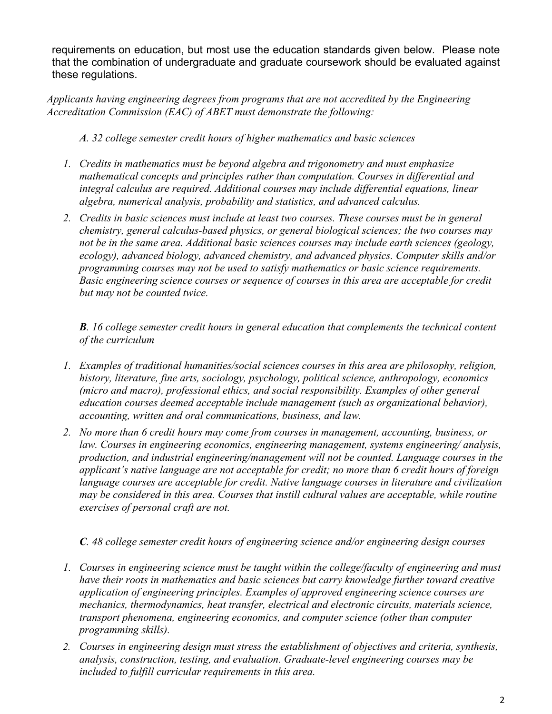requirements on education, but most use the education standards given below. Please note that the combination of undergraduate and graduate coursework should be evaluated against these regulations.

*Applicants having engineering degrees from programs that are not accredited by the Engineering Accreditation Commission (EAC) of ABET must demonstrate the following:*

*A. 32 college semester credit hours of higher mathematics and basic sciences*

- *1. Credits in mathematics must be beyond algebra and trigonometry and must emphasize mathematical concepts and principles rather than computation. Courses in differential and integral calculus are required. Additional courses may include differential equations, linear algebra, numerical analysis, probability and statistics, and advanced calculus.*
- *2. Credits in basic sciences must include at least two courses. These courses must be in general chemistry, general calculus-based physics, or general biological sciences; the two courses may not be in the same area. Additional basic sciences courses may include earth sciences (geology, ecology), advanced biology, advanced chemistry, and advanced physics. Computer skills and/or programming courses may not be used to satisfy mathematics or basic science requirements. Basic engineering science courses or sequence of courses in this area are acceptable for credit but may not be counted twice.*

*B. 16 college semester credit hours in general education that complements the technical content of the curriculum*

- *1. Examples of traditional humanities/social sciences courses in this area are philosophy, religion, history, literature, fine arts, sociology, psychology, political science, anthropology, economics (micro and macro), professional ethics, and social responsibility. Examples of other general education courses deemed acceptable include management (such as organizational behavior), accounting, written and oral communications, business, and law.*
- *2. No more than 6 credit hours may come from courses in management, accounting, business, or law. Courses in engineering economics, engineering management, systems engineering/ analysis, production, and industrial engineering/management will not be counted. Language courses in the applicant's native language are not acceptable for credit; no more than 6 credit hours of foreign language courses are acceptable for credit. Native language courses in literature and civilization may be considered in this area. Courses that instill cultural values are acceptable, while routine exercises of personal craft are not.*

*C. 48 college semester credit hours of engineering science and/or engineering design courses*

- *1. Courses in engineering science must be taught within the college/faculty of engineering and must have their roots in mathematics and basic sciences but carry knowledge further toward creative application of engineering principles. Examples of approved engineering science courses are mechanics, thermodynamics, heat transfer, electrical and electronic circuits, materials science, transport phenomena, engineering economics, and computer science (other than computer programming skills).*
- *2. Courses in engineering design must stress the establishment of objectives and criteria, synthesis, analysis, construction, testing, and evaluation. Graduate-level engineering courses may be included to fulfill curricular requirements in this area.*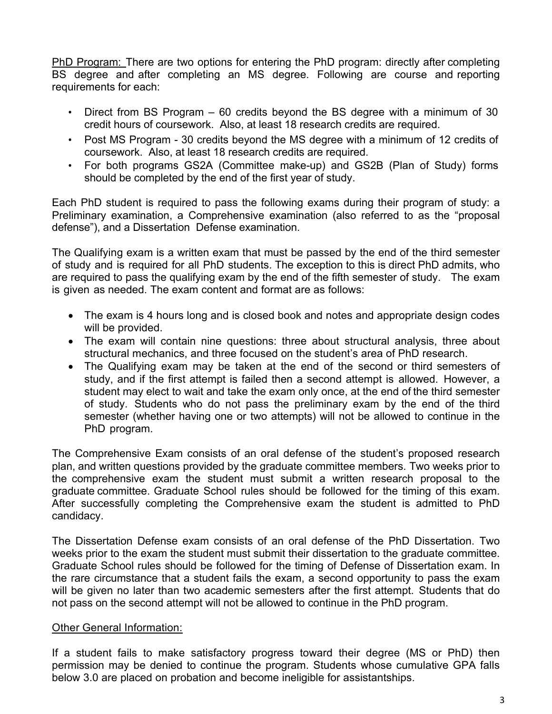PhD Program: There are two options for entering the PhD program: directly after completing BS degree and after completing an MS degree. Following are course and reporting requirements for each:

- Direct from BS Program 60 credits beyond the BS degree with a minimum of 30 credit hours of coursework. Also, at least 18 research credits are required.
- Post MS Program 30 credits beyond the MS degree with a minimum of 12 credits of coursework. Also, at least 18 research credits are required.
- For both programs GS2A (Committee make-up) and GS2B (Plan of Study) forms should be completed by the end of the first year of study.

Each PhD student is required to pass the following exams during their program of study: a Preliminary examination, a Comprehensive examination (also referred to as the "proposal defense"), and a Dissertation Defense examination.

The Qualifying exam is a written exam that must be passed by the end of the third semester of study and is required for all PhD students. The exception to this is direct PhD admits, who are required to pass the qualifying exam by the end of the fifth semester of study. The exam is given as needed. The exam content and format are as follows:

- The exam is 4 hours long and is closed book and notes and appropriate design codes will be provided.
- The exam will contain nine questions: three about structural analysis, three about structural mechanics, and three focused on the student's area of PhD research.
- The Qualifying exam may be taken at the end of the second or third semesters of study, and if the first attempt is failed then a second attempt is allowed. However, a student may elect to wait and take the exam only once, at the end of the third semester of study. Students who do not pass the preliminary exam by the end of the third semester (whether having one or two attempts) will not be allowed to continue in the PhD program.

The Comprehensive Exam consists of an oral defense of the student's proposed research plan, and written questions provided by the graduate committee members. Two weeks prior to the comprehensive exam the student must submit a written research proposal to the graduate committee. Graduate School rules should be followed for the timing of this exam. After successfully completing the Comprehensive exam the student is admitted to PhD candidacy.

The Dissertation Defense exam consists of an oral defense of the PhD Dissertation. Two weeks prior to the exam the student must submit their dissertation to the graduate committee. Graduate School rules should be followed for the timing of Defense of Dissertation exam. In the rare circumstance that a student fails the exam, a second opportunity to pass the exam will be given no later than two academic semesters after the first attempt. Students that do not pass on the second attempt will not be allowed to continue in the PhD program.

### Other General Information:

If a student fails to make satisfactory progress toward their degree (MS or PhD) then permission may be denied to continue the program. Students whose cumulative GPA falls below 3.0 are placed on probation and become ineligible for assistantships.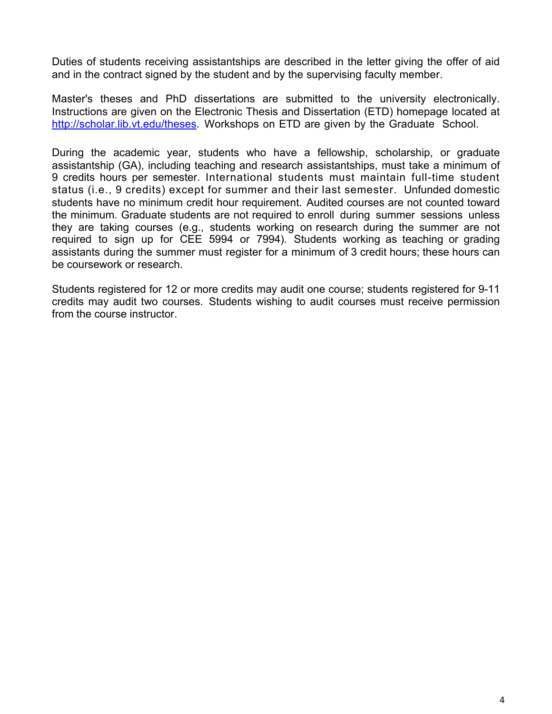Duties of students receiving assistantships are described in the letter giving the offer of aid and in the contract signed by the student and by the supervising faculty member.

Master's theses and PhD dissertations are submitted to the university electronically. Instructions are given on the Electronic Thesis and Dissertation (ETD) homepage located at http://scholar.lib.vt.edu/theses. Workshops on ETD are given by the Graduate School.

During the academic year, students who have a fellowship, scholarship, or graduate assistantship (GA), including teaching and research assistantships, must take a minimum of 9 credits hours per semester. International students must maintain full-time student status (i.e., 9 credits) except for summer and their last semester. Unfunded domestic students have no minimum credit hour requirement. Audited courses are not counted toward the minimum. Graduate students are not required to enroll during summer sessions unless they are taking courses (e.g., students working on research during the summer are not required to sign up for CEE 5994 or 7994). Students working as teaching or grading assistants during the summer must register for a minimum of 3 credit hours; these hours can be coursework or research.

Students registered for 12 or more credits may audit one course; students registered for 9-11 credits may audit two courses. Students wishing to audit courses must receive permission from the course instructor.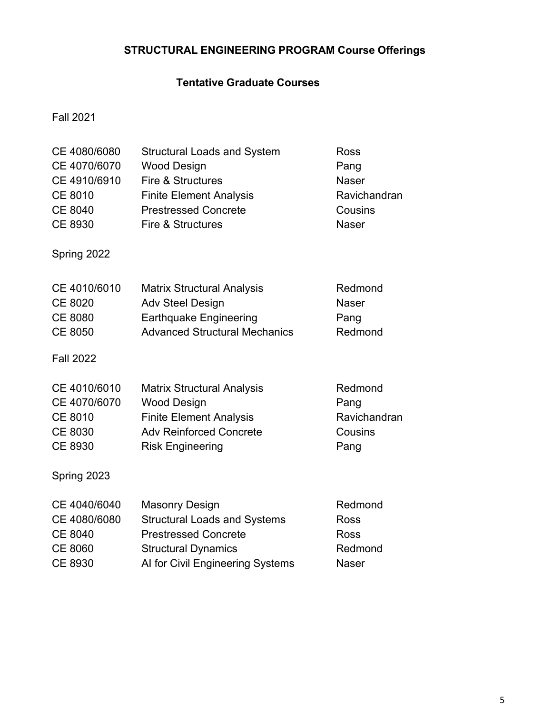# **STRUCTURAL ENGINEERING PROGRAM Course Offerings**

## **Tentative Graduate Courses**

Fall 2021

| CE 4080/6080<br>CE 4070/6070<br>CE 4910/6910<br><b>CE 8010</b><br><b>CE 8040</b><br><b>CE 8930</b><br>Spring 2022 | <b>Structural Loads and System</b><br><b>Wood Design</b><br>Fire & Structures<br><b>Finite Element Analysis</b><br><b>Prestressed Concrete</b><br>Fire & Structures | <b>Ross</b><br>Pang<br><b>Naser</b><br>Ravichandran<br>Cousins<br><b>Naser</b> |
|-------------------------------------------------------------------------------------------------------------------|---------------------------------------------------------------------------------------------------------------------------------------------------------------------|--------------------------------------------------------------------------------|
| CE 4010/6010<br><b>CE 8020</b><br><b>CE 8080</b><br><b>CE 8050</b><br><b>Fall 2022</b>                            | <b>Matrix Structural Analysis</b><br><b>Adv Steel Design</b><br><b>Earthquake Engineering</b><br><b>Advanced Structural Mechanics</b>                               | Redmond<br><b>Naser</b><br>Pang<br>Redmond                                     |
| CE 4010/6010<br>CE 4070/6070<br><b>CE 8010</b><br>CE 8030<br>CE 8930                                              | <b>Matrix Structural Analysis</b><br><b>Wood Design</b><br><b>Finite Element Analysis</b><br><b>Adv Reinforced Concrete</b><br><b>Risk Engineering</b>              | Redmond<br>Pang<br>Ravichandran<br>Cousins<br>Pang                             |
| Spring 2023<br>CE 4040/6040<br>CE 4080/6080<br><b>CE 8040</b><br><b>CE 8060</b><br>CE 8930                        | <b>Masonry Design</b><br><b>Structural Loads and Systems</b><br><b>Prestressed Concrete</b><br><b>Structural Dynamics</b><br>Al for Civil Engineering Systems       | Redmond<br>Ross<br><b>Ross</b><br>Redmond<br><b>Naser</b>                      |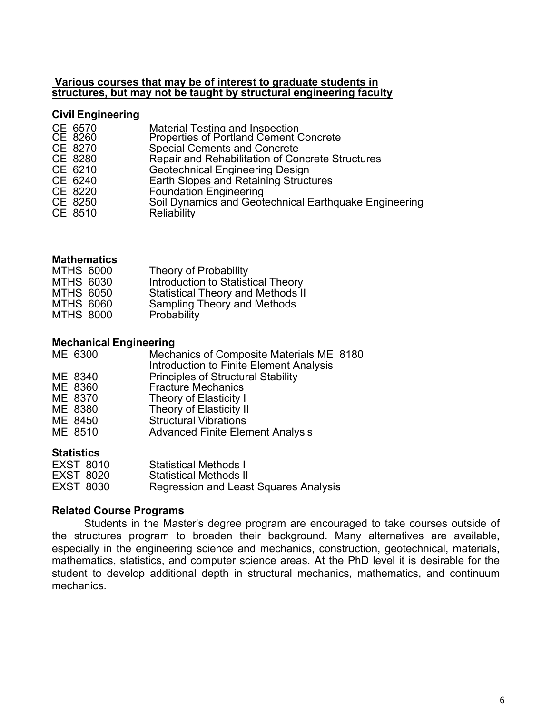#### **Various courses that may be of interest to graduate students in structures, but may not be taught by structural engineering faculty**

### **Civil Engineering**

| CE 6570<br>CE 8260<br>CE 8270<br>CE 8280<br>CE 6210<br>CE 6240 | <b>Material Testing and Inspection</b><br><b>Properties of Portland Cement Concrete</b><br><b>Special Cements and Concrete</b><br>Repair and Rehabilitation of Concrete Structures<br><b>Geotechnical Engineering Design</b><br>Earth Slopes and Retaining Structures |
|----------------------------------------------------------------|-----------------------------------------------------------------------------------------------------------------------------------------------------------------------------------------------------------------------------------------------------------------------|
| CE 8220<br>CE 8250<br>CE 8510                                  | <b>Foundation Engineering</b><br>Soil Dynamics and Geotechnical Earthquake Engineering<br><b>Reliability</b>                                                                                                                                                          |

### **Mathematics**

| <b>MTHS 6000</b> | Theory of Probability                    |
|------------------|------------------------------------------|
| <b>MTHS 6030</b> | Introduction to Statistical Theory       |
| <b>MTHS 6050</b> | <b>Statistical Theory and Methods II</b> |
| <b>MTHS 6060</b> | Sampling Theory and Methods              |
| <b>MTHS 8000</b> | Probability                              |

### **Mechanical Engineering**

| ME 6300 | Mechanics of Composite Materials ME 8180<br>Introduction to Finite Element Analysis |  |
|---------|-------------------------------------------------------------------------------------|--|
| ME 8340 | <b>Principles of Structural Stability</b>                                           |  |
| ME 8360 | <b>Fracture Mechanics</b>                                                           |  |
| ME 8370 | Theory of Elasticity I                                                              |  |
| ME 8380 | Theory of Elasticity II                                                             |  |
| ME 8450 | <b>Structural Vibrations</b>                                                        |  |
| ME 8510 | <b>Advanced Finite Element Analysis</b>                                             |  |
|         |                                                                                     |  |

#### **Statistics**

| <b>EXST 8010</b> | <b>Statistical Methods I</b>                 |
|------------------|----------------------------------------------|
| <b>EXST 8020</b> | <b>Statistical Methods II</b>                |
| <b>EXST 8030</b> | <b>Regression and Least Squares Analysis</b> |

### **Related Course Programs**

Students in the Master's degree program are encouraged to take courses outside of the structures program to broaden their background. Many alternatives are available, especially in the engineering science and mechanics, construction, geotechnical, materials, mathematics, statistics, and computer science areas. At the PhD level it is desirable for the student to develop additional depth in structural mechanics, mathematics, and continuum mechanics.